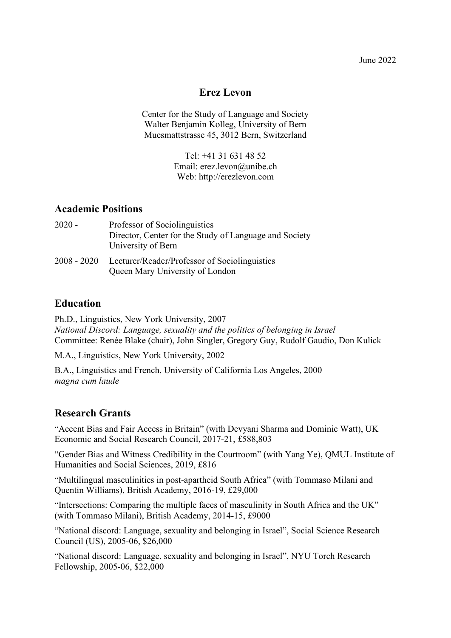June 2022

# **Erez Levon**

Center for the Study of Language and Society Walter Benjamin Kolleg, University of Bern Muesmattstrasse 45, 3012 Bern, Switzerland

> Tel: +41 31 631 48 52 Email: erez.levon@unibe.ch Web: http://erezlevon.com

# **Academic Positions**

| $2020 -$      | Professor of Sociolinguistics                                                    |
|---------------|----------------------------------------------------------------------------------|
|               | Director, Center for the Study of Language and Society<br>University of Bern     |
| $2008 - 2020$ | Lecturer/Reader/Professor of Sociolinguistics<br>Queen Mary University of London |

# **Education**

Ph.D., Linguistics, New York University, 2007 *National Discord: Language, sexuality and the politics of belonging in Israel* Committee: Renée Blake (chair), John Singler, Gregory Guy, Rudolf Gaudio, Don Kulick

M.A., Linguistics, New York University, 2002

B.A., Linguistics and French, University of California Los Angeles, 2000 *magna cum laude*

# **Research Grants**

"Accent Bias and Fair Access in Britain" (with Devyani Sharma and Dominic Watt), UK Economic and Social Research Council, 2017-21, £588,803

"Gender Bias and Witness Credibility in the Courtroom" (with Yang Ye), QMUL Institute of Humanities and Social Sciences, 2019, £816

"Multilingual masculinities in post-apartheid South Africa" (with Tommaso Milani and Quentin Williams), British Academy, 2016-19, £29,000

"Intersections: Comparing the multiple faces of masculinity in South Africa and the UK" (with Tommaso Milani), British Academy, 2014-15, £9000

"National discord: Language, sexuality and belonging in Israel", Social Science Research Council (US), 2005-06, \$26,000

"National discord: Language, sexuality and belonging in Israel", NYU Torch Research Fellowship, 2005-06, \$22,000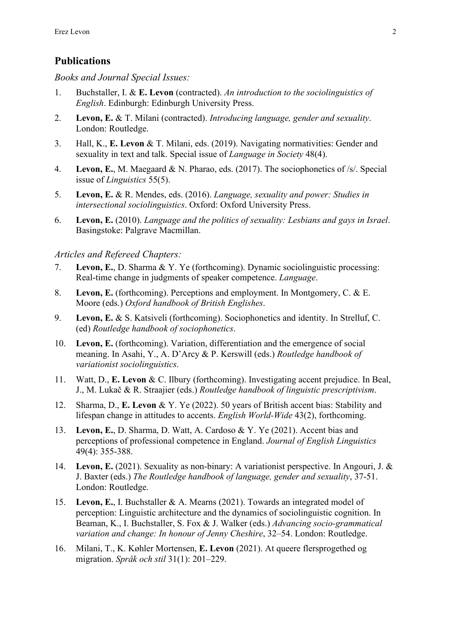# **Publications**

*Books and Journal Special Issues:*

- 1. Buchstaller, I. & **E. Levon** (contracted). *An introduction to the sociolinguistics of English*. Edinburgh: Edinburgh University Press.
- 2. **Levon, E.** & T. Milani (contracted). *Introducing language, gender and sexuality*. London: Routledge.
- 3. Hall, K., **E. Levon** & T. Milani, eds. (2019). Navigating normativities: Gender and sexuality in text and talk. Special issue of *Language in Society* 48(4).
- 4. **Levon, E.**, M. Maegaard & N. Pharao, eds. (2017). The sociophonetics of /s/. Special issue of *Linguistics* 55(5).
- 5. **Levon, E.** & R. Mendes, eds. (2016). *Language, sexuality and power: Studies in intersectional sociolinguistics*. Oxford: Oxford University Press.
- 6. **Levon, E.** (2010). *Language and the politics of sexuality: Lesbians and gays in Israel*. Basingstoke: Palgrave Macmillan.

### *Articles and Refereed Chapters:*

- 7. **Levon, E.**, D. Sharma & Y. Ye (forthcoming). Dynamic sociolinguistic processing: Real-time change in judgments of speaker competence. *Language*.
- 8. **Levon, E.** (forthcoming). Perceptions and employment. In Montgomery, C. & E. Moore (eds.) *Oxford handbook of British Englishes*.
- 9. **Levon, E.** & S. Katsiveli (forthcoming). Sociophonetics and identity. In Strelluf, C. (ed) *Routledge handbook of sociophonetics*.
- 10. **Levon, E.** (forthcoming). Variation, differentiation and the emergence of social meaning. In Asahi, Y., A. D'Arcy & P. Kerswill (eds.) *Routledge handbook of variationist sociolinguistics*.
- 11. Watt, D., **E. Levon** & C. Ilbury (forthcoming). Investigating accent prejudice. In Beal, J., M. Lukač & R. Straajier (eds.) *Routledge handbook of linguistic prescriptivism*.
- 12. Sharma, D., **E. Levon** & Y. Ye (2022). 50 years of British accent bias: Stability and lifespan change in attitudes to accents. *English World-Wide* 43(2), forthcoming.
- 13. **Levon, E.**, D. Sharma, D. Watt, A. Cardoso & Y. Ye (2021). Accent bias and perceptions of professional competence in England. *Journal of English Linguistics* 49(4): 355-388.
- 14. **Levon, E.** (2021). Sexuality as non-binary: A variationist perspective. In Angouri, J. & J. Baxter (eds.) *The Routledge handbook of language, gender and sexuality*, 37-51. London: Routledge.
- 15. **Levon, E.**, I. Buchstaller & A. Mearns (2021). Towards an integrated model of perception: Linguistic architecture and the dynamics of sociolinguistic cognition. In Beaman, K., I. Buchstaller, S. Fox & J. Walker (eds.) *Advancing socio-grammatical variation and change: In honour of Jenny Cheshire*, 32–54. London: Routledge.
- 16. Milani, T., K. Køhler Mortensen, **E. Levon** (2021). At queere flersprogethed og migration. *Språk och stil* 31(1): 201–229.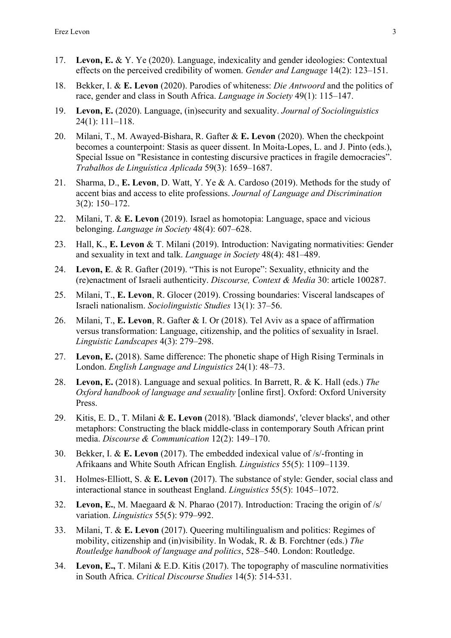- 17. **Levon, E.** & Y. Ye (2020). Language, indexicality and gender ideologies: Contextual effects on the perceived credibility of women. *Gender and Language* 14(2): 123–151.
- 18. Bekker, I. & **E. Levon** (2020). Parodies of whiteness: *Die Antwoord* and the politics of race, gender and class in South Africa. *Language in Society* 49(1): 115–147.
- 19. **Levon, E.** (2020). Language, (in)security and sexuality. *Journal of Sociolinguistics* 24(1): 111–118.
- 20. Milani, T., M. Awayed-Bishara, R. Gafter & **E. Levon** (2020). When the checkpoint becomes a counterpoint: Stasis as queer dissent. In Moita-Lopes, L. and J. Pinto (eds.), Special Issue on "Resistance in contesting discursive practices in fragile democracies". *Trabalhos de Linguística Aplicada* 59(3): 1659–1687.
- 21. Sharma, D., **E. Levon**, D. Watt, Y. Ye & A. Cardoso (2019). Methods for the study of accent bias and access to elite professions. *Journal of Language and Discrimination* 3(2): 150–172.
- 22. Milani, T. & **E. Levon** (2019). Israel as homotopia: Language, space and vicious belonging. *Language in Society* 48(4): 607–628.
- 23. Hall, K., **E. Levon** & T. Milani (2019). Introduction: Navigating normativities: Gender and sexuality in text and talk. *Language in Society* 48(4): 481–489.
- 24. **Levon, E**. & R. Gafter (2019). "This is not Europe": Sexuality, ethnicity and the (re)enactment of Israeli authenticity. *Discourse, Context & Media* 30: article 100287.
- 25. Milani, T., **E. Levon**, R. Glocer (2019). Crossing boundaries: Visceral landscapes of Israeli nationalism. *Sociolinguistic Studies* 13(1): 37–56.
- 26. Milani, T., **E. Levon**, R. Gafter & I. Or (2018). Tel Aviv as a space of affirmation versus transformation: Language, citizenship, and the politics of sexuality in Israel. *Linguistic Landscapes* 4(3): 279–298.
- 27. **Levon, E.** (2018). Same difference: The phonetic shape of High Rising Terminals in London. *English Language and Linguistics* 24(1): 48–73.
- 28. **Levon, E.** (2018). Language and sexual politics. In Barrett, R. & K. Hall (eds.) *The Oxford handbook of language and sexuality* [online first]. Oxford: Oxford University Press.
- 29. Kitis, E. D., T. Milani & **E. Levon** (2018). 'Black diamonds', 'clever blacks', and other metaphors: Constructing the black middle-class in contemporary South African print media. *Discourse & Communication* 12(2): 149–170.
- 30. Bekker, I. & **E. Levon** (2017). The embedded indexical value of /s/-fronting in Afrikaans and White South African English*. Linguistics* 55(5): 1109–1139.
- 31. Holmes-Elliott, S. & **E. Levon** (2017). The substance of style: Gender, social class and interactional stance in southeast England. *Linguistics* 55(5): 1045–1072.
- 32. **Levon, E.**, M. Maegaard & N. Pharao (2017). Introduction: Tracing the origin of /s/ variation. *Linguistics* 55(5): 979–992.
- 33. Milani, T. & **E. Levon** (2017). Queering multilingualism and politics: Regimes of mobility, citizenship and (in)visibility. In Wodak, R. & B. Forchtner (eds.) *The Routledge handbook of language and politics*, 528–540. London: Routledge.
- 34. **Levon, E.,** T. Milani & E.D. Kitis (2017). The topography of masculine normativities in South Africa. *Critical Discourse Studies* 14(5): 514-531.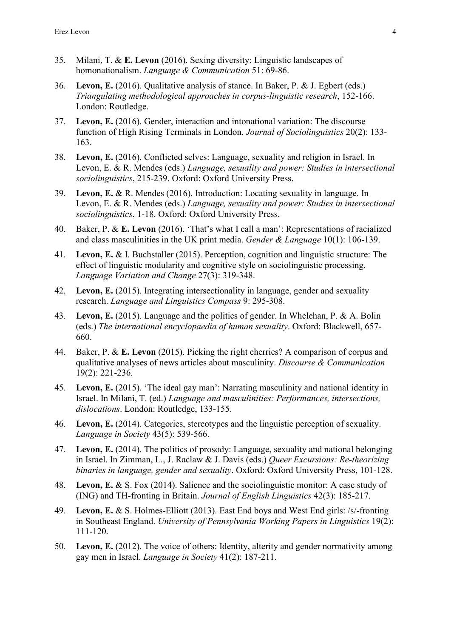- 35. Milani, T. & **E. Levon** (2016). Sexing diversity: Linguistic landscapes of homonationalism. *Language & Communication* 51: 69-86.
- 36. **Levon, E.** (2016). Qualitative analysis of stance. In Baker, P. & J. Egbert (eds.) *Triangulating methodological approaches in corpus-linguistic research*, 152-166. London: Routledge.
- 37. **Levon, E.** (2016). Gender, interaction and intonational variation: The discourse function of High Rising Terminals in London. *Journal of Sociolinguistics* 20(2): 133- 163.
- 38. **Levon, E.** (2016). Conflicted selves: Language, sexuality and religion in Israel. In Levon, E. & R. Mendes (eds.) *Language, sexuality and power: Studies in intersectional sociolinguistics*, 215-239. Oxford: Oxford University Press.
- 39. **Levon, E.** & R. Mendes (2016). Introduction: Locating sexuality in language. In Levon, E. & R. Mendes (eds.) *Language, sexuality and power: Studies in intersectional sociolinguistics*, 1-18. Oxford: Oxford University Press.
- 40. Baker, P. & **E. Levon** (2016). 'That's what I call a man': Representations of racialized and class masculinities in the UK print media. *Gender & Language* 10(1): 106-139.
- 41. **Levon, E.** & I. Buchstaller (2015). Perception, cognition and linguistic structure: The effect of linguistic modularity and cognitive style on sociolinguistic processing. *Language Variation and Change* 27(3): 319-348.
- 42. **Levon, E.** (2015). Integrating intersectionality in language, gender and sexuality research. *Language and Linguistics Compass* 9: 295-308.
- 43. **Levon, E.** (2015). Language and the politics of gender. In Whelehan, P. & A. Bolin (eds.) *The international encyclopaedia of human sexuality*. Oxford: Blackwell, 657- 660.
- 44. Baker, P. & **E. Levon** (2015). Picking the right cherries? A comparison of corpus and qualitative analyses of news articles about masculinity. *Discourse & Communication* 19(2): 221-236.
- 45. **Levon, E.** (2015). 'The ideal gay man': Narrating masculinity and national identity in Israel. In Milani, T. (ed.) *Language and masculinities: Performances, intersections, dislocations*. London: Routledge, 133-155.
- 46. **Levon, E.** (2014). Categories, stereotypes and the linguistic perception of sexuality. *Language in Society* 43(5): 539-566.
- 47. **Levon, E.** (2014). The politics of prosody: Language, sexuality and national belonging in Israel. In Zimman, L., J. Raclaw & J. Davis (eds.) *Queer Excursions: Re-theorizing binaries in language, gender and sexuality*. Oxford: Oxford University Press, 101-128.
- 48. **Levon, E.** & S. Fox (2014). Salience and the sociolinguistic monitor: A case study of (ING) and TH-fronting in Britain. *Journal of English Linguistics* 42(3): 185-217.
- 49. **Levon, E.** & S. Holmes-Elliott (2013). East End boys and West End girls: /s/-fronting in Southeast England. *University of Pennsylvania Working Papers in Linguistics* 19(2): 111-120.
- 50. **Levon, E.** (2012). The voice of others: Identity, alterity and gender normativity among gay men in Israel. *Language in Society* 41(2): 187-211.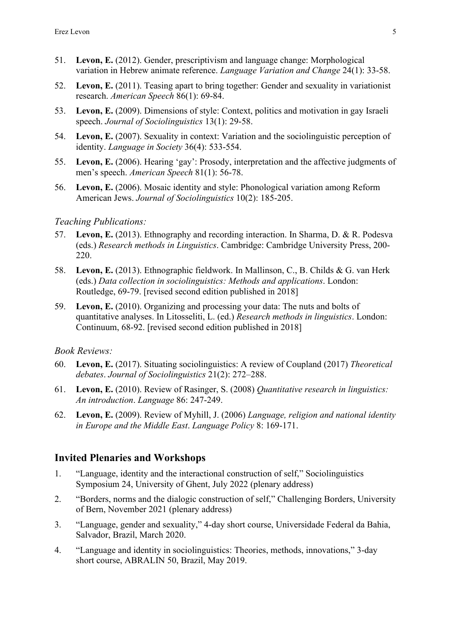- 51. **Levon, E.** (2012). Gender, prescriptivism and language change: Morphological variation in Hebrew animate reference. *Language Variation and Change* 24(1): 33-58.
- 52. **Levon, E.** (2011). Teasing apart to bring together: Gender and sexuality in variationist research. *American Speech* 86(1): 69-84.
- 53. **Levon, E.** (2009). Dimensions of style: Context, politics and motivation in gay Israeli speech. *Journal of Sociolinguistics* 13(1): 29-58.
- 54. **Levon, E.** (2007). Sexuality in context: Variation and the sociolinguistic perception of identity. *Language in Society* 36(4): 533-554.
- 55. **Levon, E.** (2006). Hearing 'gay': Prosody, interpretation and the affective judgments of men's speech. *American Speech* 81(1): 56-78.
- 56. **Levon, E.** (2006). Mosaic identity and style: Phonological variation among Reform American Jews. *Journal of Sociolinguistics* 10(2): 185-205.

### *Teaching Publications:*

- 57. **Levon, E.** (2013). Ethnography and recording interaction. In Sharma, D. & R. Podesva (eds.) *Research methods in Linguistics*. Cambridge: Cambridge University Press, 200- 220.
- 58. **Levon, E.** (2013). Ethnographic fieldwork. In Mallinson, C., B. Childs & G. van Herk (eds.) *Data collection in sociolinguistics: Methods and applications*. London: Routledge, 69-79. [revised second edition published in 2018]
- 59. **Levon, E.** (2010). Organizing and processing your data: The nuts and bolts of quantitative analyses. In Litosseliti, L. (ed.) *Research methods in linguistics*. London: Continuum, 68-92. [revised second edition published in 2018]

### *Book Reviews:*

- 60. **Levon, E.** (2017). Situating sociolinguistics: A review of Coupland (2017) *Theoretical debates*. *Journal of Sociolinguistics* 21(2): 272–288.
- 61. **Levon, E.** (2010). Review of Rasinger, S. (2008) *Quantitative research in linguistics: An introduction*. *Language* 86: 247-249.
- 62. **Levon, E.** (2009). Review of Myhill, J. (2006) *Language, religion and national identity in Europe and the Middle East*. *Language Policy* 8: 169-171.

# **Invited Plenaries and Workshops**

- 1. "Language, identity and the interactional construction of self," Sociolinguistics Symposium 24, University of Ghent, July 2022 (plenary address)
- 2. "Borders, norms and the dialogic construction of self," Challenging Borders, University of Bern, November 2021 (plenary address)
- 3. "Language, gender and sexuality," 4-day short course, Universidade Federal da Bahia, Salvador, Brazil, March 2020.
- 4. "Language and identity in sociolinguistics: Theories, methods, innovations," 3-day short course, ABRALIN 50, Brazil, May 2019.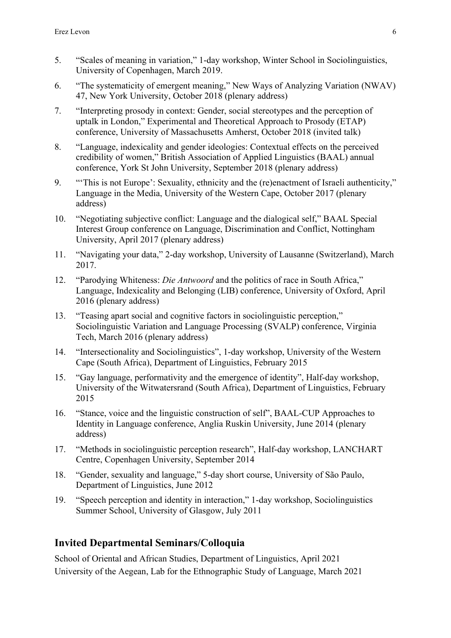- 5. "Scales of meaning in variation," 1-day workshop, Winter School in Sociolinguistics, University of Copenhagen, March 2019.
- 6. "The systematicity of emergent meaning," New Ways of Analyzing Variation (NWAV) 47, New York University, October 2018 (plenary address)
- 7. "Interpreting prosody in context: Gender, social stereotypes and the perception of uptalk in London," Experimental and Theoretical Approach to Prosody (ETAP) conference, University of Massachusetts Amherst, October 2018 (invited talk)
- 8. "Language, indexicality and gender ideologies: Contextual effects on the perceived credibility of women," British Association of Applied Linguistics (BAAL) annual conference, York St John University, September 2018 (plenary address)
- 9. "'This is not Europe': Sexuality, ethnicity and the (re)enactment of Israeli authenticity," Language in the Media, University of the Western Cape, October 2017 (plenary address)
- 10. "Negotiating subjective conflict: Language and the dialogical self," BAAL Special Interest Group conference on Language, Discrimination and Conflict, Nottingham University, April 2017 (plenary address)
- 11. "Navigating your data," 2-day workshop, University of Lausanne (Switzerland), March 2017.
- 12. "Parodying Whiteness: *Die Antwoord* and the politics of race in South Africa," Language, Indexicality and Belonging (LIB) conference, University of Oxford, April 2016 (plenary address)
- 13. "Teasing apart social and cognitive factors in sociolinguistic perception," Sociolinguistic Variation and Language Processing (SVALP) conference, Virginia Tech, March 2016 (plenary address)
- 14. "Intersectionality and Sociolinguistics", 1-day workshop, University of the Western Cape (South Africa), Department of Linguistics, February 2015
- 15. "Gay language, performativity and the emergence of identity", Half-day workshop, University of the Witwatersrand (South Africa), Department of Linguistics, February 2015
- 16. "Stance, voice and the linguistic construction of self", BAAL-CUP Approaches to Identity in Language conference, Anglia Ruskin University, June 2014 (plenary address)
- 17. "Methods in sociolinguistic perception research", Half-day workshop, LANCHART Centre, Copenhagen University, September 2014
- 18. "Gender, sexuality and language," 5-day short course, University of São Paulo, Department of Linguistics, June 2012
- 19. "Speech perception and identity in interaction," 1-day workshop, Sociolinguistics Summer School, University of Glasgow, July 2011

# **Invited Departmental Seminars/Colloquia**

School of Oriental and African Studies, Department of Linguistics, April 2021 University of the Aegean, Lab for the Ethnographic Study of Language, March 2021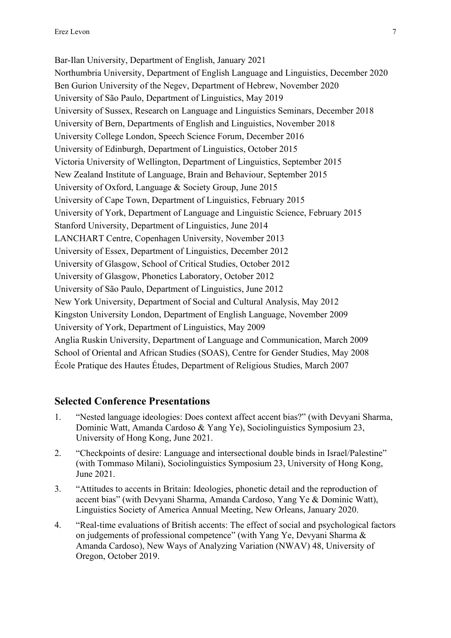Bar-Ilan University, Department of English, January 2021 Northumbria University, Department of English Language and Linguistics, December 2020 Ben Gurion University of the Negev, Department of Hebrew, November 2020 University of São Paulo, Department of Linguistics, May 2019 University of Sussex, Research on Language and Linguistics Seminars, December 2018 University of Bern, Departments of English and Linguistics, November 2018 University College London, Speech Science Forum, December 2016 University of Edinburgh, Department of Linguistics, October 2015 Victoria University of Wellington, Department of Linguistics, September 2015 New Zealand Institute of Language, Brain and Behaviour, September 2015 University of Oxford, Language & Society Group, June 2015 University of Cape Town, Department of Linguistics, February 2015 University of York, Department of Language and Linguistic Science, February 2015 Stanford University, Department of Linguistics, June 2014 LANCHART Centre, Copenhagen University, November 2013 University of Essex, Department of Linguistics, December 2012 University of Glasgow, School of Critical Studies, October 2012 University of Glasgow, Phonetics Laboratory, October 2012 University of São Paulo, Department of Linguistics, June 2012 New York University, Department of Social and Cultural Analysis, May 2012 Kingston University London, Department of English Language, November 2009 University of York, Department of Linguistics, May 2009 Anglia Ruskin University, Department of Language and Communication, March 2009 School of Oriental and African Studies (SOAS), Centre for Gender Studies, May 2008 École Pratique des Hautes Études, Department of Religious Studies, March 2007

# **Selected Conference Presentations**

- 1. "Nested language ideologies: Does context affect accent bias?" (with Devyani Sharma, Dominic Watt, Amanda Cardoso & Yang Ye), Sociolinguistics Symposium 23, University of Hong Kong, June 2021.
- 2. "Checkpoints of desire: Language and intersectional double binds in Israel/Palestine" (with Tommaso Milani), Sociolinguistics Symposium 23, University of Hong Kong, June 2021.
- 3. "Attitudes to accents in Britain: Ideologies, phonetic detail and the reproduction of accent bias" (with Devyani Sharma, Amanda Cardoso, Yang Ye & Dominic Watt), Linguistics Society of America Annual Meeting, New Orleans, January 2020.
- 4. "Real-time evaluations of British accents: The effect of social and psychological factors on judgements of professional competence" (with Yang Ye, Devyani Sharma & Amanda Cardoso), New Ways of Analyzing Variation (NWAV) 48, University of Oregon, October 2019.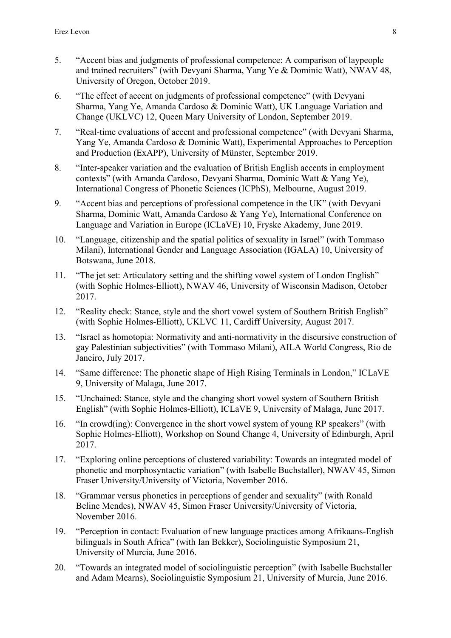- 5. "Accent bias and judgments of professional competence: A comparison of laypeople and trained recruiters" (with Devyani Sharma, Yang Ye & Dominic Watt), NWAV 48, University of Oregon, October 2019.
- 6. "The effect of accent on judgments of professional competence" (with Devyani Sharma, Yang Ye, Amanda Cardoso & Dominic Watt), UK Language Variation and Change (UKLVC) 12, Queen Mary University of London, September 2019.
- 7. "Real-time evaluations of accent and professional competence" (with Devyani Sharma, Yang Ye, Amanda Cardoso & Dominic Watt), Experimental Approaches to Perception and Production (ExAPP), University of Münster, September 2019.
- 8. "Inter-speaker variation and the evaluation of British English accents in employment contexts" (with Amanda Cardoso, Devyani Sharma, Dominic Watt & Yang Ye), International Congress of Phonetic Sciences (ICPhS), Melbourne, August 2019.
- 9. "Accent bias and perceptions of professional competence in the UK" (with Devyani Sharma, Dominic Watt, Amanda Cardoso & Yang Ye), International Conference on Language and Variation in Europe (ICLaVE) 10, Fryske Akademy, June 2019.
- 10. "Language, citizenship and the spatial politics of sexuality in Israel" (with Tommaso Milani), International Gender and Language Association (IGALA) 10, University of Botswana, June 2018.
- 11. "The jet set: Articulatory setting and the shifting vowel system of London English" (with Sophie Holmes-Elliott), NWAV 46, University of Wisconsin Madison, October 2017.
- 12. "Reality check: Stance, style and the short vowel system of Southern British English" (with Sophie Holmes-Elliott), UKLVC 11, Cardiff University, August 2017.
- 13. "Israel as homotopia: Normativity and anti-normativity in the discursive construction of gay Palestinian subjectivities" (with Tommaso Milani), AILA World Congress, Rio de Janeiro, July 2017.
- 14. "Same difference: The phonetic shape of High Rising Terminals in London," ICLaVE 9, University of Malaga, June 2017.
- 15. "Unchained: Stance, style and the changing short vowel system of Southern British English" (with Sophie Holmes-Elliott), ICLaVE 9, University of Malaga, June 2017.
- 16. "In crowd(ing): Convergence in the short vowel system of young RP speakers" (with Sophie Holmes-Elliott), Workshop on Sound Change 4, University of Edinburgh, April 2017.
- 17. "Exploring online perceptions of clustered variability: Towards an integrated model of phonetic and morphosyntactic variation" (with Isabelle Buchstaller), NWAV 45, Simon Fraser University/University of Victoria, November 2016.
- 18. "Grammar versus phonetics in perceptions of gender and sexuality" (with Ronald Beline Mendes), NWAV 45, Simon Fraser University/University of Victoria, November 2016.
- 19. "Perception in contact: Evaluation of new language practices among Afrikaans-English bilinguals in South Africa" (with Ian Bekker), Sociolinguistic Symposium 21, University of Murcia, June 2016.
- 20. "Towards an integrated model of sociolinguistic perception" (with Isabelle Buchstaller and Adam Mearns), Sociolinguistic Symposium 21, University of Murcia, June 2016.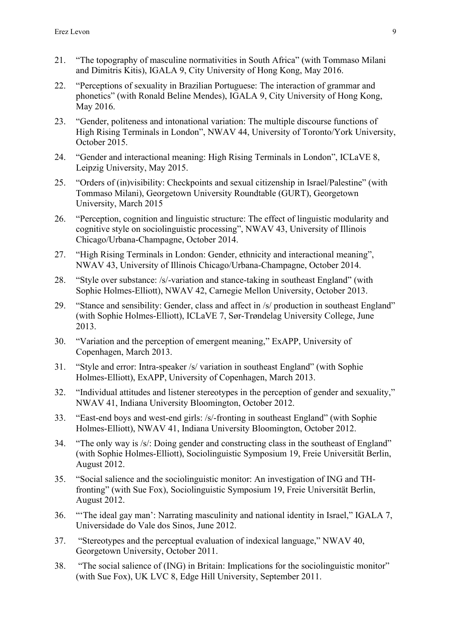- 21. "The topography of masculine normativities in South Africa" (with Tommaso Milani and Dimitris Kitis), IGALA 9, City University of Hong Kong, May 2016.
- 22. "Perceptions of sexuality in Brazilian Portuguese: The interaction of grammar and phonetics" (with Ronald Beline Mendes), IGALA 9, City University of Hong Kong, May 2016.
- 23. "Gender, politeness and intonational variation: The multiple discourse functions of High Rising Terminals in London", NWAV 44, University of Toronto/York University, October 2015.
- 24. "Gender and interactional meaning: High Rising Terminals in London", ICLaVE 8, Leipzig University, May 2015.
- 25. "Orders of (in)visibility: Checkpoints and sexual citizenship in Israel/Palestine" (with Tommaso Milani), Georgetown University Roundtable (GURT), Georgetown University, March 2015
- 26. "Perception, cognition and linguistic structure: The effect of linguistic modularity and cognitive style on sociolinguistic processing", NWAV 43, University of Illinois Chicago/Urbana-Champagne, October 2014.
- 27. "High Rising Terminals in London: Gender, ethnicity and interactional meaning", NWAV 43, University of Illinois Chicago/Urbana-Champagne, October 2014.
- 28. "Style over substance: /s/-variation and stance-taking in southeast England" (with Sophie Holmes-Elliott), NWAV 42, Carnegie Mellon University, October 2013.
- 29. "Stance and sensibility: Gender, class and affect in /s/ production in southeast England" (with Sophie Holmes-Elliott), ICLaVE 7, Sør-Trøndelag University College, June 2013.
- 30. "Variation and the perception of emergent meaning," ExAPP, University of Copenhagen, March 2013.
- 31. "Style and error: Intra-speaker /s/ variation in southeast England" (with Sophie Holmes-Elliott), ExAPP, University of Copenhagen, March 2013.
- 32. "Individual attitudes and listener stereotypes in the perception of gender and sexuality," NWAV 41, Indiana University Bloomington, October 2012.
- 33. "East-end boys and west-end girls: /s/-fronting in southeast England" (with Sophie Holmes-Elliott), NWAV 41, Indiana University Bloomington, October 2012.
- 34. "The only way is /s/: Doing gender and constructing class in the southeast of England" (with Sophie Holmes-Elliott), Sociolinguistic Symposium 19, Freie Universität Berlin, August 2012.
- 35. "Social salience and the sociolinguistic monitor: An investigation of ING and THfronting" (with Sue Fox), Sociolinguistic Symposium 19, Freie Universität Berlin, August 2012.
- 36. "'The ideal gay man': Narrating masculinity and national identity in Israel," IGALA 7, Universidade do Vale dos Sinos, June 2012.
- 37. "Stereotypes and the perceptual evaluation of indexical language," NWAV 40, Georgetown University, October 2011.
- 38. "The social salience of (ING) in Britain: Implications for the sociolinguistic monitor" (with Sue Fox), UK LVC 8, Edge Hill University, September 2011.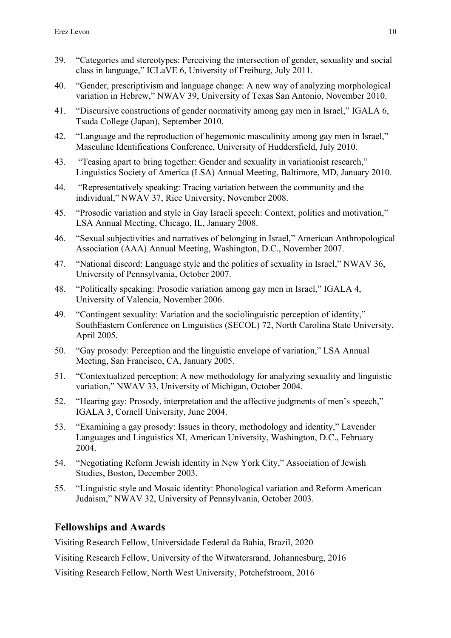- 39. "Categories and stereotypes: Perceiving the intersection of gender, sexuality and social class in language," ICLaVE 6, University of Freiburg, July 2011.
- 40. "Gender, prescriptivism and language change: A new way of analyzing morphological variation in Hebrew," NWAV 39, University of Texas San Antonio, November 2010.
- 41. "Discursive constructions of gender normativity among gay men in Israel," IGALA 6, Tsuda College (Japan), September 2010.
- 42. "Language and the reproduction of hegemonic masculinity among gay men in Israel," Masculine Identifications Conference, University of Huddersfield, July 2010.
- 43. "Teasing apart to bring together: Gender and sexuality in variationist research," Linguistics Society of America (LSA) Annual Meeting, Baltimore, MD, January 2010.
- 44. "Representatively speaking: Tracing variation between the community and the individual," NWAV 37, Rice University, November 2008.
- 45. "Prosodic variation and style in Gay Israeli speech: Context, politics and motivation," LSA Annual Meeting, Chicago, IL, January 2008.
- 46. "Sexual subjectivities and narratives of belonging in Israel," American Anthropological Association (AAA) Annual Meeting, Washington, D.C., November 2007.
- 47. "National discord: Language style and the politics of sexuality in Israel," NWAV 36, University of Pennsylvania, October 2007.
- 48. "Politically speaking: Prosodic variation among gay men in Israel," IGALA 4, University of Valencia, November 2006.
- 49. "Contingent sexuality: Variation and the sociolinguistic perception of identity," SouthEastern Conference on Linguistics (SECOL) 72, North Carolina State University, April 2005.
- 50. "Gay prosody: Perception and the linguistic envelope of variation," LSA Annual Meeting, San Francisco, CA, January 2005.
- 51. "Contextualized perception: A new methodology for analyzing sexuality and linguistic variation," NWAV 33, University of Michigan, October 2004.
- 52. "Hearing gay: Prosody, interpretation and the affective judgments of men's speech," IGALA 3, Cornell University, June 2004.
- 53. "Examining a gay prosody: Issues in theory, methodology and identity," Lavender Languages and Linguistics XI, American University, Washington, D.C., February 2004.
- 54. "Negotiating Reform Jewish identity in New York City," Association of Jewish Studies, Boston, December 2003.
- 55. "Linguistic style and Mosaic identity: Phonological variation and Reform American Judaism," NWAV 32, University of Pennsylvania, October 2003.

# **Fellowships and Awards**

Visiting Research Fellow, Universidade Federal da Bahia, Brazil, 2020

Visiting Research Fellow, University of the Witwatersrand, Johannesburg, 2016

Visiting Research Fellow, North West University, Potchefstroom, 2016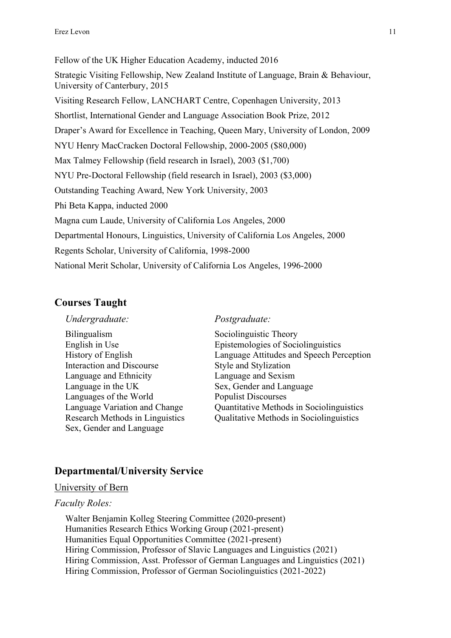Fellow of the UK Higher Education Academy, inducted 2016 Strategic Visiting Fellowship, New Zealand Institute of Language, Brain & Behaviour, University of Canterbury, 2015 Visiting Research Fellow, LANCHART Centre, Copenhagen University, 2013 Shortlist, International Gender and Language Association Book Prize, 2012 Draper's Award for Excellence in Teaching, Queen Mary, University of London, 2009 NYU Henry MacCracken Doctoral Fellowship, 2000-2005 (\$80,000) Max Talmey Fellowship (field research in Israel), 2003 (\$1,700) NYU Pre-Doctoral Fellowship (field research in Israel), 2003 (\$3,000) Outstanding Teaching Award, New York University, 2003 Phi Beta Kappa, inducted 2000 Magna cum Laude, University of California Los Angeles, 2000 Departmental Honours, Linguistics, University of California Los Angeles, 2000 Regents Scholar, University of California, 1998-2000 National Merit Scholar, University of California Los Angeles, 1996-2000

# **Courses Taught**

Bilingualism Sociolinguistic Theory<br>English in Use Epistemologies of Soci Interaction and Discourse Style and Stylization Language and Ethnicity Language and Sexism Language in the UK Sex, Gender and Language Languages of the World Populist Discourses Sex, Gender and Language

#### *Undergraduate: Postgraduate:*

Epistemologies of Sociolinguistics History of English Language Attitudes and Speech Perception Language Variation and Change Quantitative Methods in Sociolinguistics Research Methods in Linguistics Qualitative Methods in Sociolinguistics

# **Departmental/University Service**

### University of Bern

### *Faculty Roles:*

Walter Benjamin Kolleg Steering Committee (2020-present) Humanities Research Ethics Working Group (2021-present) Humanities Equal Opportunities Committee (2021-present) Hiring Commission, Professor of Slavic Languages and Linguistics (2021) Hiring Commission, Asst. Professor of German Languages and Linguistics (2021) Hiring Commission, Professor of German Sociolinguistics (2021-2022)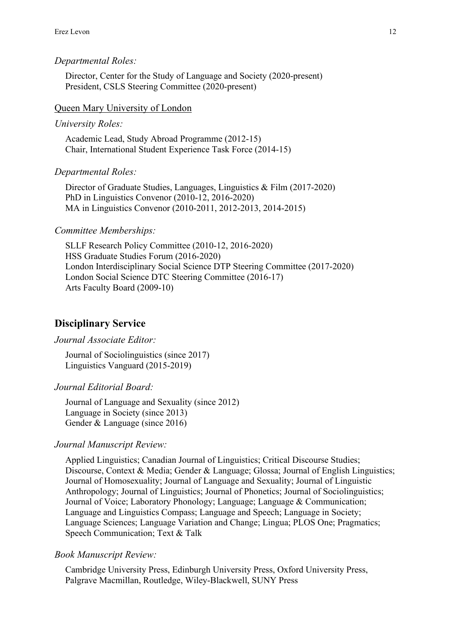### *Departmental Roles:*

Director, Center for the Study of Language and Society (2020-present) President, CSLS Steering Committee (2020-present)

#### Queen Mary University of London

#### *University Roles:*

Academic Lead, Study Abroad Programme (2012-15) Chair, International Student Experience Task Force (2014-15)

#### *Departmental Roles:*

Director of Graduate Studies, Languages, Linguistics & Film (2017-2020) PhD in Linguistics Convenor (2010-12, 2016-2020) MA in Linguistics Convenor (2010-2011, 2012-2013, 2014-2015)

#### *Committee Memberships:*

SLLF Research Policy Committee (2010-12, 2016-2020) HSS Graduate Studies Forum (2016-2020) London Interdisciplinary Social Science DTP Steering Committee (2017-2020) London Social Science DTC Steering Committee (2016-17) Arts Faculty Board (2009-10)

## **Disciplinary Service**

## *Journal Associate Editor:*

Journal of Sociolinguistics (since 2017) Linguistics Vanguard (2015-2019)

## *Journal Editorial Board:*

Journal of Language and Sexuality (since 2012) Language in Society (since 2013) Gender & Language (since 2016)

#### *Journal Manuscript Review:*

Applied Linguistics; Canadian Journal of Linguistics; Critical Discourse Studies; Discourse, Context & Media; Gender & Language; Glossa; Journal of English Linguistics; Journal of Homosexuality; Journal of Language and Sexuality; Journal of Linguistic Anthropology; Journal of Linguistics; Journal of Phonetics; Journal of Sociolinguistics; Journal of Voice; Laboratory Phonology; Language; Language & Communication; Language and Linguistics Compass; Language and Speech; Language in Society; Language Sciences; Language Variation and Change; Lingua; PLOS One; Pragmatics; Speech Communication; Text & Talk

#### *Book Manuscript Review:*

Cambridge University Press, Edinburgh University Press, Oxford University Press, Palgrave Macmillan, Routledge, Wiley-Blackwell, SUNY Press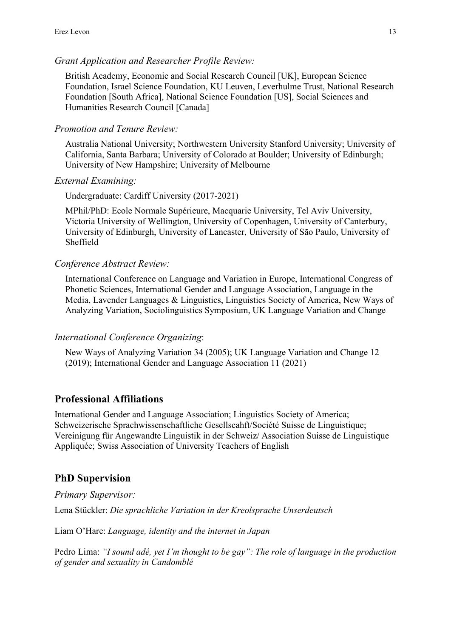## *Grant Application and Researcher Profile Review:*

British Academy, Economic and Social Research Council [UK], European Science Foundation, Israel Science Foundation, KU Leuven, Leverhulme Trust, National Research Foundation [South Africa], National Science Foundation [US], Social Sciences and Humanities Research Council [Canada]

## *Promotion and Tenure Review:*

Australia National University; Northwestern University Stanford University; University of California, Santa Barbara; University of Colorado at Boulder; University of Edinburgh; University of New Hampshire; University of Melbourne

## *External Examining:*

Undergraduate: Cardiff University (2017-2021)

MPhil/PhD: Ecole Normale Supérieure, Macquarie University, Tel Aviv University, Victoria University of Wellington, University of Copenhagen, University of Canterbury, University of Edinburgh, University of Lancaster, University of São Paulo, University of Sheffield

## *Conference Abstract Review:*

International Conference on Language and Variation in Europe, International Congress of Phonetic Sciences, International Gender and Language Association, Language in the Media, Lavender Languages & Linguistics, Linguistics Society of America, New Ways of Analyzing Variation, Sociolinguistics Symposium, UK Language Variation and Change

### *International Conference Organizing*:

New Ways of Analyzing Variation 34 (2005); UK Language Variation and Change 12 (2019); International Gender and Language Association 11 (2021)

# **Professional Affiliations**

International Gender and Language Association; Linguistics Society of America; Schweizerische Sprachwissenschaftliche Gesellscahft/Société Suisse de Linguistique; Vereinigung für Angewandte Linguistik in der Schweiz/ Association Suisse de Linguistique Appliquée; Swiss Association of University Teachers of English

# **PhD Supervision**

*Primary Supervisor:* Lena Stückler: *Die sprachliche Variation in der Kreolsprache Unserdeutsch*

Liam O'Hare: *Language, identity and the internet in Japan*

Pedro Lima: *"I sound adé, yet I'm thought to be gay": The role of language in the production of gender and sexuality in Candomblé*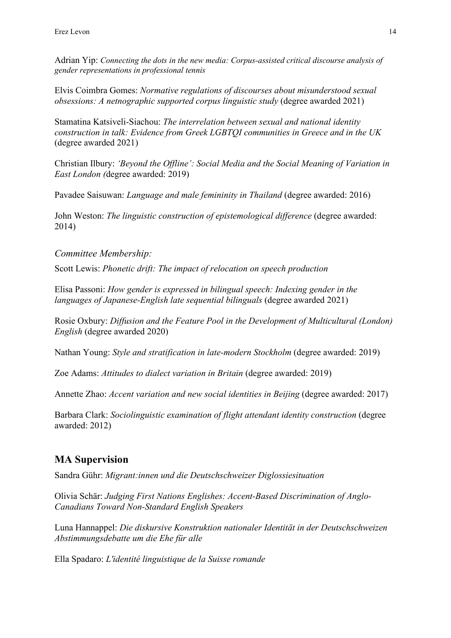Adrian Yip: *Connecting the dots in the new media: Corpus-assisted critical discourse analysis of gender representations in professional tennis*

Elvis Coimbra Gomes: *Normative regulations of discourses about misunderstood sexual obsessions: A netnographic supported corpus linguistic study* (degree awarded 2021)

Stamatina Katsiveli-Siachou: *The interrelation between sexual and national identity construction in talk: Evidence from Greek LGBTQI communities in Greece and in the UK* (degree awarded 2021)

Christian Ilbury: *'Beyond the Offline': Social Media and the Social Meaning of Variation in East London (*degree awarded: 2019)

Pavadee Saisuwan: *Language and male femininity in Thailand* (degree awarded: 2016)

John Weston: *The linguistic construction of epistemological difference* (degree awarded: 2014)

*Committee Membership:*

Scott Lewis: *Phonetic drift: The impact of relocation on speech production*

Elisa Passoni: *How gender is expressed in bilingual speech: Indexing gender in the languages of Japanese-English late sequential bilinguals* (degree awarded 2021)

Rosie Oxbury: *Diffusion and the Feature Pool in the Development of Multicultural (London) English* (degree awarded 2020)

Nathan Young: *Style and stratification in late-modern Stockholm* (degree awarded: 2019)

Zoe Adams: *Attitudes to dialect variation in Britain* (degree awarded: 2019)

Annette Zhao: *Accent variation and new social identities in Beijing* (degree awarded: 2017)

Barbara Clark: *Sociolinguistic examination of flight attendant identity construction* (degree awarded: 2012)

# **MA Supervision**

Sandra Gühr: *Migrant:innen und die Deutschschweizer Diglossiesituation*

Olivia Schär: *Judging First Nations Englishes: Accent-Based Discrimination of Anglo-Canadians Toward Non-Standard English Speakers*

Luna Hannappel: *Die diskursive Konstruktion nationaler Identität in der Deutschschweizen Abstimmungsdebatte um die Ehe für alle*

Ella Spadaro: *L'identité linguistique de la Suisse romande*